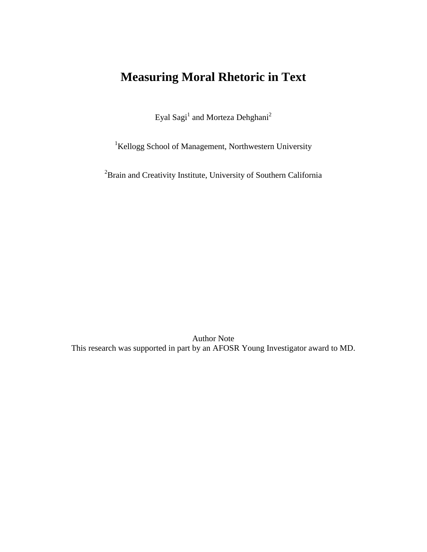# **Measuring Moral Rhetoric in Text**

Eyal Sagi<sup>1</sup> and Morteza Dehghani<sup>2</sup>

<sup>1</sup>Kellogg School of Management, Northwestern University

<sup>2</sup> Brain and Creativity Institute, University of Southern California

Author Note This research was supported in part by an AFOSR Young Investigator award to MD.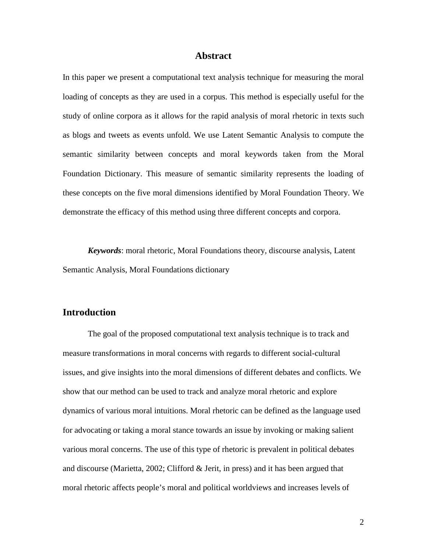### **Abstract**

In this paper we present a computational text analysis technique for measuring the moral loading of concepts as they are used in a corpus. This method is especially useful for the study of online corpora as it allows for the rapid analysis of moral rhetoric in texts such as blogs and tweets as events unfold. We use Latent Semantic Analysis to compute the semantic similarity between concepts and moral keywords taken from the Moral Foundation Dictionary. This measure of semantic similarity represents the loading of these concepts on the five moral dimensions identified by Moral Foundation Theory. We demonstrate the efficacy of this method using three different concepts and corpora.

*Keywords*: moral rhetoric, Moral Foundations theory, discourse analysis, Latent Semantic Analysis, Moral Foundations dictionary

## **Introduction**

The goal of the proposed computational text analysis technique is to track and measure transformations in moral concerns with regards to different social-cultural issues, and give insights into the moral dimensions of different debates and conflicts. We show that our method can be used to track and analyze moral rhetoric and explore dynamics of various moral intuitions. Moral rhetoric can be defined as the language used for advocating or taking a moral stance towards an issue by invoking or making salient various moral concerns. The use of this type of rhetoric is prevalent in political debates and discourse (Marietta, 2002; Clifford & Jerit, in press) and it has been argued that moral rhetoric affects people's moral and political worldviews and increases levels of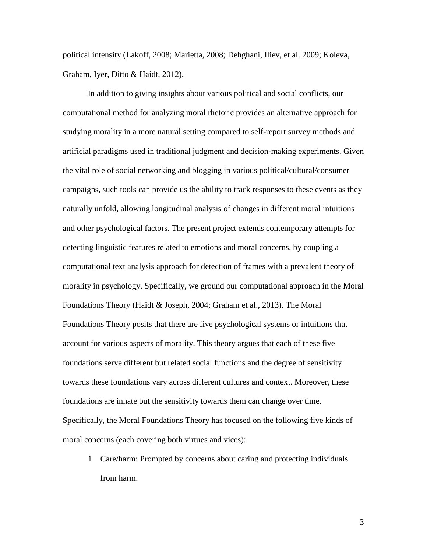political intensity (Lakoff, 2008; Marietta, 2008; Dehghani, Iliev, et al. 2009; Koleva, Graham, Iyer, Ditto & Haidt, 2012).

In addition to giving insights about various political and social conflicts, our computational method for analyzing moral rhetoric provides an alternative approach for studying morality in a more natural setting compared to self-report survey methods and artificial paradigms used in traditional judgment and decision-making experiments. Given the vital role of social networking and blogging in various political/cultural/consumer campaigns, such tools can provide us the ability to track responses to these events as they naturally unfold, allowing longitudinal analysis of changes in different moral intuitions and other psychological factors. The present project extends contemporary attempts for detecting linguistic features related to emotions and moral concerns, by coupling a computational text analysis approach for detection of frames with a prevalent theory of morality in psychology. Specifically, we ground our computational approach in the Moral Foundations Theory (Haidt & Joseph, 2004; Graham et al., 2013). The Moral Foundations Theory posits that there are five psychological systems or intuitions that account for various aspects of morality. This theory argues that each of these five foundations serve different but related social functions and the degree of sensitivity towards these foundations vary across different cultures and context. Moreover, these foundations are innate but the sensitivity towards them can change over time. Specifically, the Moral Foundations Theory has focused on the following five kinds of moral concerns (each covering both virtues and vices):

1. Care/harm: Prompted by concerns about caring and protecting individuals from harm.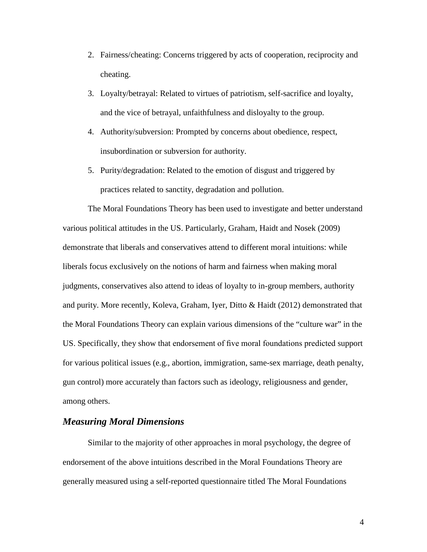- 2. Fairness/cheating: Concerns triggered by acts of cooperation, reciprocity and cheating.
- 3. Loyalty/betrayal: Related to virtues of patriotism, self-sacrifice and loyalty, and the vice of betrayal, unfaithfulness and disloyalty to the group.
- 4. Authority/subversion: Prompted by concerns about obedience, respect, insubordination or subversion for authority.
- 5. Purity/degradation: Related to the emotion of disgust and triggered by practices related to sanctity, degradation and pollution.

The Moral Foundations Theory has been used to investigate and better understand various political attitudes in the US. Particularly, Graham, Haidt and Nosek (2009) demonstrate that liberals and conservatives attend to different moral intuitions: while liberals focus exclusively on the notions of harm and fairness when making moral judgments, conservatives also attend to ideas of loyalty to in-group members, authority and purity. More recently, Koleva, Graham, Iyer, Ditto & Haidt (2012) demonstrated that the Moral Foundations Theory can explain various dimensions of the "culture war" in the US. Specifically, they show that endorsement of five moral foundations predicted support for various political issues (e.g., abortion, immigration, same-sex marriage, death penalty, gun control) more accurately than factors such as ideology, religiousness and gender, among others.

# *Measuring Moral Dimensions*

Similar to the majority of other approaches in moral psychology, the degree of endorsement of the above intuitions described in the Moral Foundations Theory are generally measured using a self-reported questionnaire titled The Moral Foundations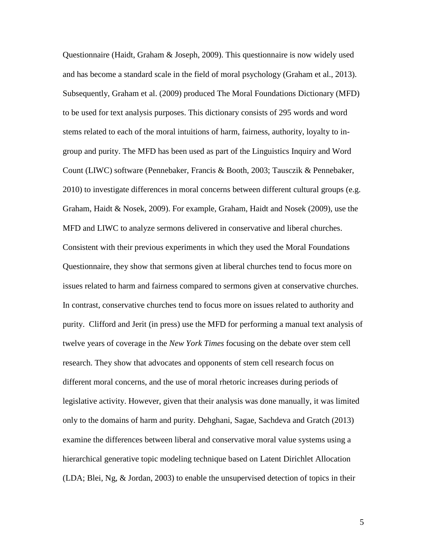Questionnaire (Haidt, Graham & Joseph, 2009). This questionnaire is now widely used and has become a standard scale in the field of moral psychology (Graham et al., 2013). Subsequently, Graham et al. (2009) produced The Moral Foundations Dictionary (MFD) to be used for text analysis purposes. This dictionary consists of 295 words and word stems related to each of the moral intuitions of harm, fairness, authority, loyalty to ingroup and purity. The MFD has been used as part of the Linguistics Inquiry and Word Count (LIWC) software (Pennebaker, Francis & Booth, 2003; Tausczik & Pennebaker, 2010) to investigate differences in moral concerns between different cultural groups (e.g. Graham, Haidt & Nosek, 2009). For example, Graham, Haidt and Nosek (2009), use the MFD and LIWC to analyze sermons delivered in conservative and liberal churches. Consistent with their previous experiments in which they used the Moral Foundations Questionnaire, they show that sermons given at liberal churches tend to focus more on issues related to harm and fairness compared to sermons given at conservative churches. In contrast, conservative churches tend to focus more on issues related to authority and purity. Clifford and Jerit (in press) use the MFD for performing a manual text analysis of twelve years of coverage in the *New York Times* focusing on the debate over stem cell research. They show that advocates and opponents of stem cell research focus on different moral concerns, and the use of moral rhetoric increases during periods of legislative activity. However, given that their analysis was done manually, it was limited only to the domains of harm and purity. Dehghani, Sagae, Sachdeva and Gratch (2013) examine the differences between liberal and conservative moral value systems using a hierarchical generative topic modeling technique based on Latent Dirichlet Allocation (LDA; Blei, Ng, & Jordan, 2003) to enable the unsupervised detection of topics in their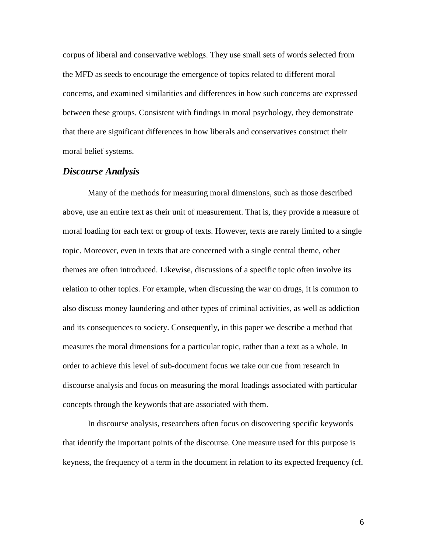corpus of liberal and conservative weblogs. They use small sets of words selected from the MFD as seeds to encourage the emergence of topics related to different moral concerns, and examined similarities and differences in how such concerns are expressed between these groups. Consistent with findings in moral psychology, they demonstrate that there are significant differences in how liberals and conservatives construct their moral belief systems.

## *Discourse Analysis*

Many of the methods for measuring moral dimensions, such as those described above, use an entire text as their unit of measurement. That is, they provide a measure of moral loading for each text or group of texts. However, texts are rarely limited to a single topic. Moreover, even in texts that are concerned with a single central theme, other themes are often introduced. Likewise, discussions of a specific topic often involve its relation to other topics. For example, when discussing the war on drugs, it is common to also discuss money laundering and other types of criminal activities, as well as addiction and its consequences to society. Consequently, in this paper we describe a method that measures the moral dimensions for a particular topic, rather than a text as a whole. In order to achieve this level of sub-document focus we take our cue from research in discourse analysis and focus on measuring the moral loadings associated with particular concepts through the keywords that are associated with them.

In discourse analysis, researchers often focus on discovering specific keywords that identify the important points of the discourse. One measure used for this purpose is keyness, the frequency of a term in the document in relation to its expected frequency (cf.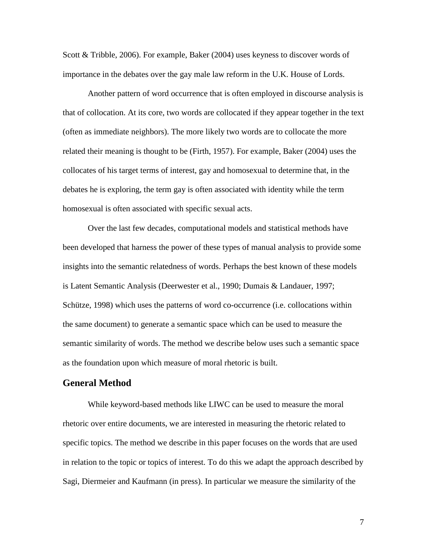Scott & Tribble, 2006). For example, Baker (2004) uses keyness to discover words of importance in the debates over the gay male law reform in the U.K. House of Lords.

Another pattern of word occurrence that is often employed in discourse analysis is that of collocation. At its core, two words are collocated if they appear together in the text (often as immediate neighbors). The more likely two words are to collocate the more related their meaning is thought to be (Firth, 1957). For example, Baker (2004) uses the collocates of his target terms of interest, gay and homosexual to determine that, in the debates he is exploring, the term gay is often associated with identity while the term homosexual is often associated with specific sexual acts.

Over the last few decades, computational models and statistical methods have been developed that harness the power of these types of manual analysis to provide some insights into the semantic relatedness of words. Perhaps the best known of these models is Latent Semantic Analysis (Deerwester et al., 1990; Dumais & Landauer, 1997; Schütze, 1998) which uses the patterns of word co-occurrence (i.e. collocations within the same document) to generate a semantic space which can be used to measure the semantic similarity of words. The method we describe below uses such a semantic space as the foundation upon which measure of moral rhetoric is built.

## **General Method**

While keyword-based methods like LIWC can be used to measure the moral rhetoric over entire documents, we are interested in measuring the rhetoric related to specific topics. The method we describe in this paper focuses on the words that are used in relation to the topic or topics of interest. To do this we adapt the approach described by Sagi, Diermeier and Kaufmann (in press). In particular we measure the similarity of the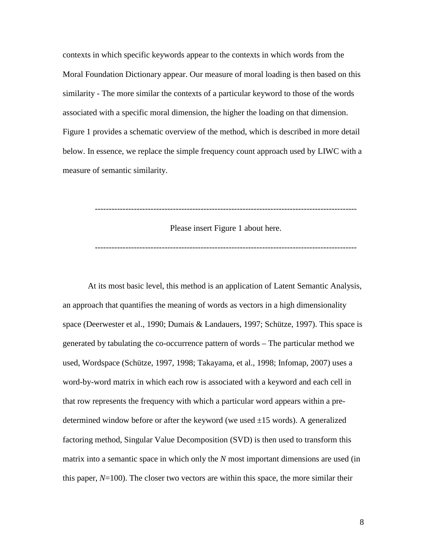contexts in which specific keywords appear to the contexts in which words from the Moral Foundation Dictionary appear. Our measure of moral loading is then based on this similarity - The more similar the contexts of a particular keyword to those of the words associated with a specific moral dimension, the higher the loading on that dimension. Figure 1 provides a schematic overview of the method, which is described in more detail below. In essence, we replace the simple frequency count approach used by LIWC with a measure of semantic similarity.

----------------------------------------------------------------------------------------------

Please insert Figure 1 about here.

----------------------------------------------------------------------------------------------

At its most basic level, this method is an application of Latent Semantic Analysis, an approach that quantifies the meaning of words as vectors in a high dimensionality space (Deerwester et al., 1990; Dumais & Landauers, 1997; Schütze, 1997). This space is generated by tabulating the co-occurrence pattern of words – The particular method we used, Wordspace (Schütze, 1997, 1998; Takayama, et al., 1998; Infomap, 2007) uses a word-by-word matrix in which each row is associated with a keyword and each cell in that row represents the frequency with which a particular word appears within a predetermined window before or after the keyword (we used  $\pm 15$  words). A generalized factoring method, Singular Value Decomposition (SVD) is then used to transform this matrix into a semantic space in which only the *N* most important dimensions are used (in this paper,  $N=100$ ). The closer two vectors are within this space, the more similar their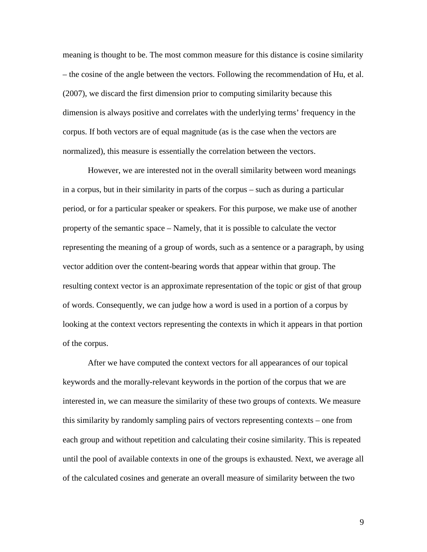meaning is thought to be. The most common measure for this distance is cosine similarity – the cosine of the angle between the vectors. Following the recommendation of Hu, et al. (2007), we discard the first dimension prior to computing similarity because this dimension is always positive and correlates with the underlying terms' frequency in the corpus. If both vectors are of equal magnitude (as is the case when the vectors are normalized), this measure is essentially the correlation between the vectors.

However, we are interested not in the overall similarity between word meanings in a corpus, but in their similarity in parts of the corpus – such as during a particular period, or for a particular speaker or speakers. For this purpose, we make use of another property of the semantic space – Namely, that it is possible to calculate the vector representing the meaning of a group of words, such as a sentence or a paragraph, by using vector addition over the content-bearing words that appear within that group. The resulting context vector is an approximate representation of the topic or gist of that group of words. Consequently, we can judge how a word is used in a portion of a corpus by looking at the context vectors representing the contexts in which it appears in that portion of the corpus.

After we have computed the context vectors for all appearances of our topical keywords and the morally-relevant keywords in the portion of the corpus that we are interested in, we can measure the similarity of these two groups of contexts. We measure this similarity by randomly sampling pairs of vectors representing contexts – one from each group and without repetition and calculating their cosine similarity. This is repeated until the pool of available contexts in one of the groups is exhausted. Next, we average all of the calculated cosines and generate an overall measure of similarity between the two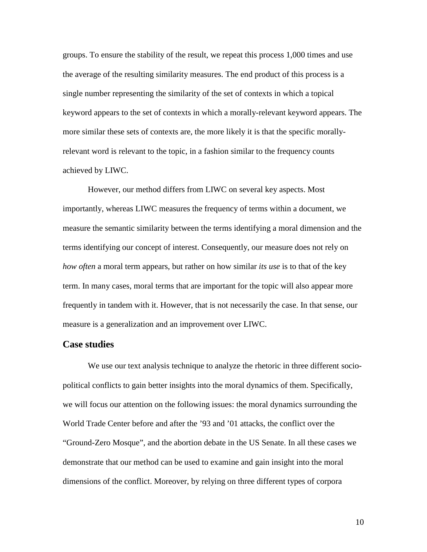groups. To ensure the stability of the result, we repeat this process 1,000 times and use the average of the resulting similarity measures. The end product of this process is a single number representing the similarity of the set of contexts in which a topical keyword appears to the set of contexts in which a morally-relevant keyword appears. The more similar these sets of contexts are, the more likely it is that the specific morallyrelevant word is relevant to the topic, in a fashion similar to the frequency counts achieved by LIWC.

However, our method differs from LIWC on several key aspects. Most importantly, whereas LIWC measures the frequency of terms within a document, we measure the semantic similarity between the terms identifying a moral dimension and the terms identifying our concept of interest. Consequently, our measure does not rely on *how often* a moral term appears, but rather on how similar *its use* is to that of the key term. In many cases, moral terms that are important for the topic will also appear more frequently in tandem with it. However, that is not necessarily the case. In that sense, our measure is a generalization and an improvement over LIWC.

# **Case studies**

We use our text analysis technique to analyze the rhetoric in three different sociopolitical conflicts to gain better insights into the moral dynamics of them. Specifically, we will focus our attention on the following issues: the moral dynamics surrounding the World Trade Center before and after the '93 and '01 attacks, the conflict over the "Ground-Zero Mosque", and the abortion debate in the US Senate. In all these cases we demonstrate that our method can be used to examine and gain insight into the moral dimensions of the conflict. Moreover, by relying on three different types of corpora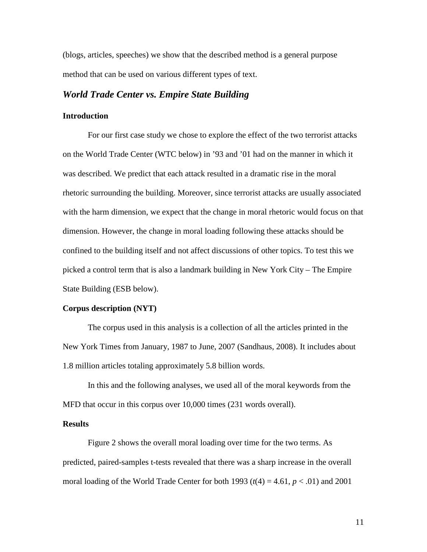(blogs, articles, speeches) we show that the described method is a general purpose method that can be used on various different types of text.

## *World Trade Center vs. Empire State Building*

#### **Introduction**

For our first case study we chose to explore the effect of the two terrorist attacks on the World Trade Center (WTC below) in '93 and '01 had on the manner in which it was described. We predict that each attack resulted in a dramatic rise in the moral rhetoric surrounding the building. Moreover, since terrorist attacks are usually associated with the harm dimension, we expect that the change in moral rhetoric would focus on that dimension. However, the change in moral loading following these attacks should be confined to the building itself and not affect discussions of other topics. To test this we picked a control term that is also a landmark building in New York City – The Empire State Building (ESB below).

#### **Corpus description (NYT)**

The corpus used in this analysis is a collection of all the articles printed in the New York Times from January, 1987 to June, 2007 (Sandhaus, 2008). It includes about 1.8 million articles totaling approximately 5.8 billion words.

In this and the following analyses, we used all of the moral keywords from the MFD that occur in this corpus over 10,000 times (231 words overall).

#### **Results**

Figure 2 shows the overall moral loading over time for the two terms. As predicted, paired-samples t-tests revealed that there was a sharp increase in the overall moral loading of the World Trade Center for both 1993 ( $t(4) = 4.61$ ,  $p < .01$ ) and 2001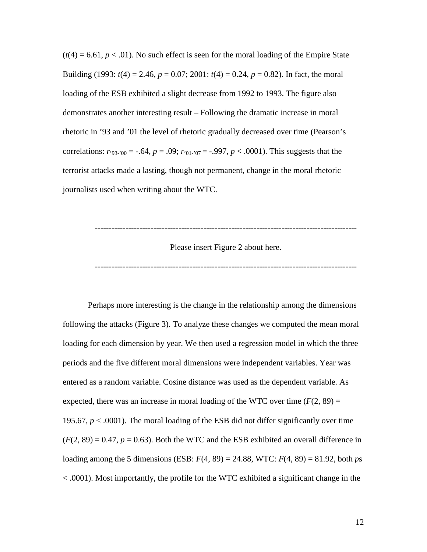$(t(4) = 6.61, p < 0.01)$ . No such effect is seen for the moral loading of the Empire State Building (1993:  $t(4) = 2.46$ ,  $p = 0.07$ ; 2001:  $t(4) = 0.24$ ,  $p = 0.82$ ). In fact, the moral loading of the ESB exhibited a slight decrease from 1992 to 1993. The figure also demonstrates another interesting result – Following the dramatic increase in moral rhetoric in '93 and '01 the level of rhetoric gradually decreased over time (Pearson's correlations:  $r_{93-00} = -.64$ ,  $p = .09$ ;  $r_{01-07} = -.997$ ,  $p < .0001$ ). This suggests that the terrorist attacks made a lasting, though not permanent, change in the moral rhetoric journalists used when writing about the WTC.



----------------------------------------------------------------------------------------------

Perhaps more interesting is the change in the relationship among the dimensions following the attacks (Figure 3). To analyze these changes we computed the mean moral loading for each dimension by year. We then used a regression model in which the three periods and the five different moral dimensions were independent variables. Year was entered as a random variable. Cosine distance was used as the dependent variable. As expected, there was an increase in moral loading of the WTC over time  $(F(2, 89) =$ 195.67,  $p < .0001$ ). The moral loading of the ESB did not differ significantly over time  $(F(2, 89) = 0.47, p = 0.63)$ . Both the WTC and the ESB exhibited an overall difference in loading among the 5 dimensions (ESB: *F*(4, 89) = 24.88, WTC: *F*(4, 89) = 81.92, both *p*s < .0001). Most importantly, the profile for the WTC exhibited a significant change in the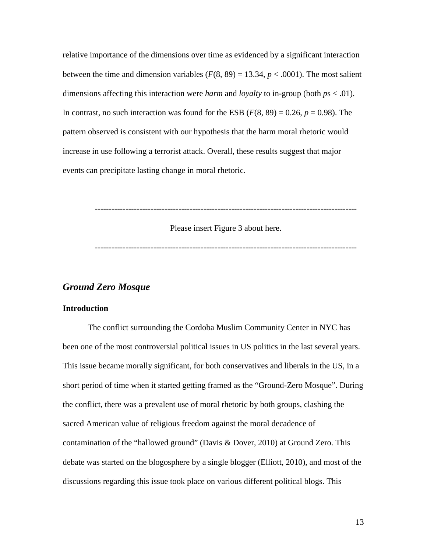relative importance of the dimensions over time as evidenced by a significant interaction between the time and dimension variables  $(F(8, 89) = 13.34, p < .0001)$ . The most salient dimensions affecting this interaction were *harm* and *loyalty* to in-group (both *p*s < .01). In contrast, no such interaction was found for the ESB  $(F(8, 89) = 0.26, p = 0.98)$ . The pattern observed is consistent with our hypothesis that the harm moral rhetoric would increase in use following a terrorist attack. Overall, these results suggest that major events can precipitate lasting change in moral rhetoric.



Please insert Figure 3 about here.

----------------------------------------------------------------------------------------------

## *Ground Zero Mosque*

## **Introduction**

The conflict surrounding the Cordoba Muslim Community Center in NYC has been one of the most controversial political issues in US politics in the last several years. This issue became morally significant, for both conservatives and liberals in the US, in a short period of time when it started getting framed as the "Ground-Zero Mosque". During the conflict, there was a prevalent use of moral rhetoric by both groups, clashing the sacred American value of religious freedom against the moral decadence of contamination of the "hallowed ground" (Davis & Dover, 2010) at Ground Zero. This debate was started on the blogosphere by a single blogger (Elliott, 2010), and most of the discussions regarding this issue took place on various different political blogs. This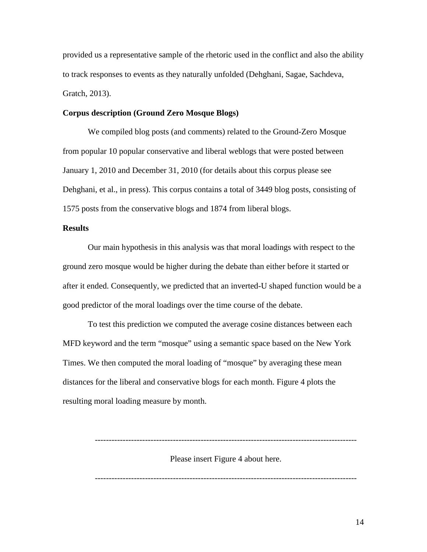provided us a representative sample of the rhetoric used in the conflict and also the ability to track responses to events as they naturally unfolded (Dehghani, Sagae, Sachdeva, Gratch, 2013).

#### **Corpus description (Ground Zero Mosque Blogs)**

We compiled blog posts (and comments) related to the Ground-Zero Mosque from popular 10 popular conservative and liberal weblogs that were posted between January 1, 2010 and December 31, 2010 (for details about this corpus please see Dehghani, et al., in press). This corpus contains a total of 3449 blog posts, consisting of 1575 posts from the conservative blogs and 1874 from liberal blogs.

#### **Results**

Our main hypothesis in this analysis was that moral loadings with respect to the ground zero mosque would be higher during the debate than either before it started or after it ended. Consequently, we predicted that an inverted-U shaped function would be a good predictor of the moral loadings over the time course of the debate.

To test this prediction we computed the average cosine distances between each MFD keyword and the term "mosque" using a semantic space based on the New York Times. We then computed the moral loading of "mosque" by averaging these mean distances for the liberal and conservative blogs for each month. Figure 4 plots the resulting moral loading measure by month.

Please insert Figure 4 about here.

----------------------------------------------------------------------------------------------

----------------------------------------------------------------------------------------------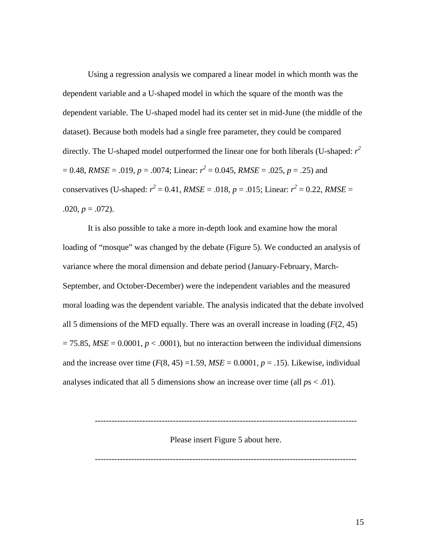Using a regression analysis we compared a linear model in which month was the dependent variable and a U-shaped model in which the square of the month was the dependent variable. The U-shaped model had its center set in mid-June (the middle of the dataset). Because both models had a single free parameter, they could be compared directly. The U-shaped model outperformed the linear one for both liberals (U-shaped: *r 2*  $= 0.48$ , *RMSE* = .019, *p* = .0074; Linear:  $r^2 = 0.045$ , *RMSE* = .025, *p* = .25) and conservatives (U-shaped:  $r^2 = 0.41$ , *RMSE* = .018, *p* = .015; Linear:  $r^2 = 0.22$ , *RMSE* =  $.020, p = .072$ ).

It is also possible to take a more in-depth look and examine how the moral loading of "mosque" was changed by the debate (Figure 5). We conducted an analysis of variance where the moral dimension and debate period (January-February, March-September, and October-December) were the independent variables and the measured moral loading was the dependent variable. The analysis indicated that the debate involved all 5 dimensions of the MFD equally. There was an overall increase in loading  $(F(2, 45))$  $= 75.85$ ,  $MSE = 0.0001$ ,  $p < .0001$ ), but no interaction between the individual dimensions and the increase over time  $(F(8, 45) = 1.59, MSE = 0.0001, p = .15)$ . Likewise, individual analyses indicated that all 5 dimensions show an increase over time (all  $ps < .01$ ).

----------------------------------------------------------------------------------------------

Please insert Figure 5 about here.

----------------------------------------------------------------------------------------------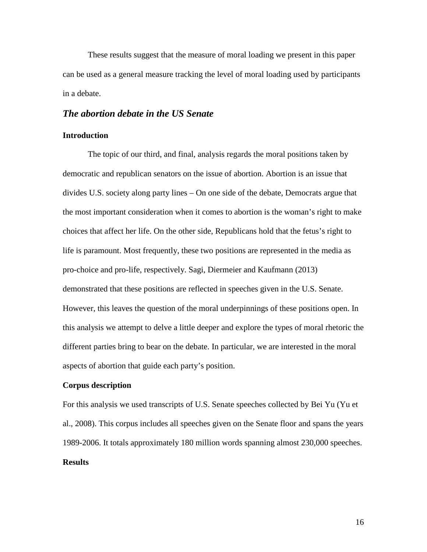These results suggest that the measure of moral loading we present in this paper can be used as a general measure tracking the level of moral loading used by participants in a debate.

### *The abortion debate in the US Senate*

## **Introduction**

The topic of our third, and final, analysis regards the moral positions taken by democratic and republican senators on the issue of abortion. Abortion is an issue that divides U.S. society along party lines – On one side of the debate, Democrats argue that the most important consideration when it comes to abortion is the woman's right to make choices that affect her life. On the other side, Republicans hold that the fetus's right to life is paramount. Most frequently, these two positions are represented in the media as pro-choice and pro-life, respectively. Sagi, Diermeier and Kaufmann (2013) demonstrated that these positions are reflected in speeches given in the U.S. Senate. However, this leaves the question of the moral underpinnings of these positions open. In this analysis we attempt to delve a little deeper and explore the types of moral rhetoric the different parties bring to bear on the debate. In particular, we are interested in the moral aspects of abortion that guide each party's position.

#### **Corpus description**

For this analysis we used transcripts of U.S. Senate speeches collected by Bei Yu (Yu et al., 2008). This corpus includes all speeches given on the Senate floor and spans the years 1989-2006. It totals approximately 180 million words spanning almost 230,000 speeches.

# **Results**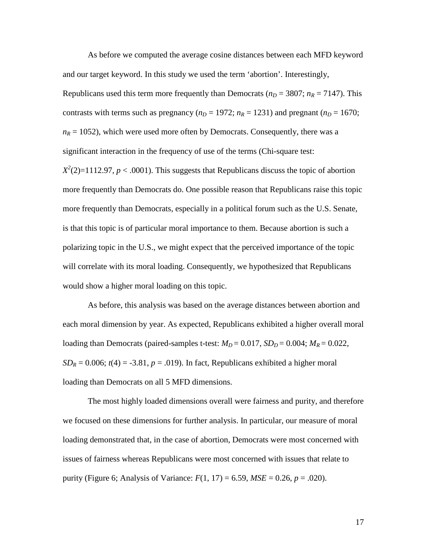As before we computed the average cosine distances between each MFD keyword and our target keyword. In this study we used the term 'abortion'. Interestingly, Republicans used this term more frequently than Democrats ( $n_D = 3807$ ;  $n_R = 7147$ ). This contrasts with terms such as pregnancy ( $n_D = 1972$ ;  $n_R = 1231$ ) and pregnant ( $n_D = 1670$ ;  $n_R$  = 1052), which were used more often by Democrats. Consequently, there was a significant interaction in the frequency of use of the terms (Chi-square test:

 $X^2(2)=1112.97, p < .0001$ ). This suggests that Republicans discuss the topic of abortion more frequently than Democrats do. One possible reason that Republicans raise this topic more frequently than Democrats, especially in a political forum such as the U.S. Senate, is that this topic is of particular moral importance to them. Because abortion is such a polarizing topic in the U.S., we might expect that the perceived importance of the topic will correlate with its moral loading. Consequently, we hypothesized that Republicans would show a higher moral loading on this topic.

As before, this analysis was based on the average distances between abortion and each moral dimension by year. As expected, Republicans exhibited a higher overall moral loading than Democrats (paired-samples t-test:  $M_D = 0.017$ ,  $SD_D = 0.004$ ;  $M_R = 0.022$ ,  $SD_R = 0.006$ ;  $t(4) = -3.81$ ,  $p = .019$ ). In fact, Republicans exhibited a higher moral loading than Democrats on all 5 MFD dimensions.

The most highly loaded dimensions overall were fairness and purity, and therefore we focused on these dimensions for further analysis. In particular, our measure of moral loading demonstrated that, in the case of abortion, Democrats were most concerned with issues of fairness whereas Republicans were most concerned with issues that relate to purity (Figure 6; Analysis of Variance: *F*(1, 17) = 6.59, *MSE* = 0.26, *p* = .020).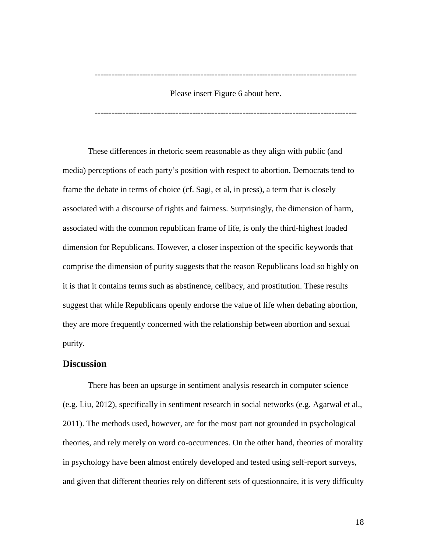----------------------------------------------------------------------------------------------

Please insert Figure 6 about here.

----------------------------------------------------------------------------------------------

These differences in rhetoric seem reasonable as they align with public (and media) perceptions of each party's position with respect to abortion. Democrats tend to frame the debate in terms of choice (cf. Sagi, et al, in press), a term that is closely associated with a discourse of rights and fairness. Surprisingly, the dimension of harm, associated with the common republican frame of life, is only the third-highest loaded dimension for Republicans. However, a closer inspection of the specific keywords that comprise the dimension of purity suggests that the reason Republicans load so highly on it is that it contains terms such as abstinence, celibacy, and prostitution. These results suggest that while Republicans openly endorse the value of life when debating abortion, they are more frequently concerned with the relationship between abortion and sexual purity.

## **Discussion**

There has been an upsurge in sentiment analysis research in computer science (e.g. Liu, 2012), specifically in sentiment research in social networks (e.g. Agarwal et al., 2011). The methods used, however, are for the most part not grounded in psychological theories, and rely merely on word co-occurrences. On the other hand, theories of morality in psychology have been almost entirely developed and tested using self-report surveys, and given that different theories rely on different sets of questionnaire, it is very difficulty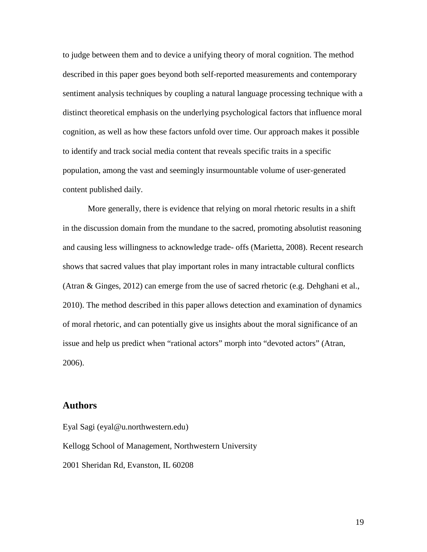to judge between them and to device a unifying theory of moral cognition. The method described in this paper goes beyond both self-reported measurements and contemporary sentiment analysis techniques by coupling a natural language processing technique with a distinct theoretical emphasis on the underlying psychological factors that influence moral cognition, as well as how these factors unfold over time. Our approach makes it possible to identify and track social media content that reveals specific traits in a specific population, among the vast and seemingly insurmountable volume of user-generated content published daily.

More generally, there is evidence that relying on moral rhetoric results in a shift in the discussion domain from the mundane to the sacred, promoting absolutist reasoning and causing less willingness to acknowledge trade- offs (Marietta, 2008). Recent research shows that sacred values that play important roles in many intractable cultural conflicts (Atran & Ginges, 2012) can emerge from the use of sacred rhetoric (e.g. Dehghani et al., 2010). The method described in this paper allows detection and examination of dynamics of moral rhetoric, and can potentially give us insights about the moral significance of an issue and help us predict when "rational actors" morph into "devoted actors" (Atran, 2006).

## **Authors**

Eyal Sagi (eyal@u.northwestern.edu) Kellogg School of Management, Northwestern University 2001 Sheridan Rd, Evanston, IL 60208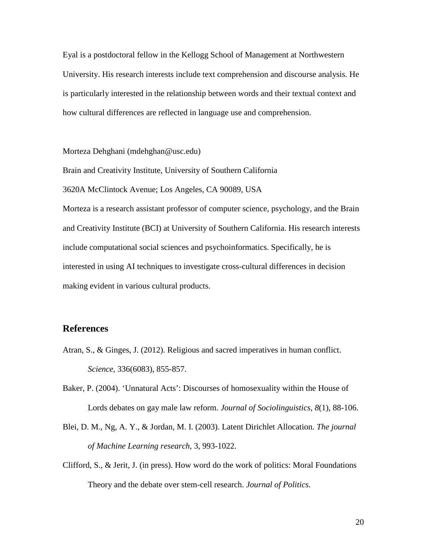Eyal is a postdoctoral fellow in the Kellogg School of Management at Northwestern University. His research interests include text comprehension and discourse analysis. He is particularly interested in the relationship between words and their textual context and how cultural differences are reflected in language use and comprehension.

Morteza Dehghani (mdehghan@usc.edu)

Brain and Creativity Institute, University of Southern California

3620A McClintock Avenue; Los Angeles, CA 90089, USA

Morteza is a research assistant professor of computer science, psychology, and the Brain and Creativity Institute (BCI) at University of Southern California. His research interests include computational social sciences and psychoinformatics. Specifically, he is interested in using AI techniques to investigate cross-cultural differences in decision making evident in various cultural products.

### **References**

- Atran, S., & Ginges, J. (2012). Religious and sacred imperatives in human conflict. *Science*, 336(6083), 855-857.
- Baker, P. (2004). 'Unnatural Acts': Discourses of homosexuality within the House of Lords debates on gay male law reform. *Journal of Sociolinguistics*, *8*(1), 88-106.
- Blei, D. M., Ng, A. Y., & Jordan, M. I. (2003). Latent Dirichlet Allocation. *The journal of Machine Learning research*, 3, 993-1022.
- Clifford, S., & Jerit, J. (in press). How word do the work of politics: Moral Foundations Theory and the debate over stem-cell research. *Journal of Politics*.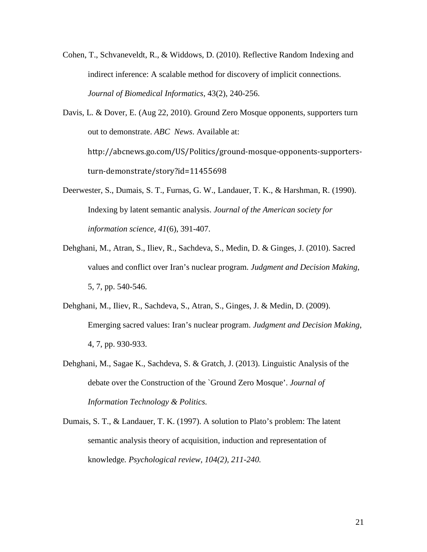- Cohen, T., Schvaneveldt, R., & Widdows, D. (2010). Reflective Random Indexing and indirect inference: A scalable method for discovery of implicit connections. *Journal of Biomedical Informatics*, 43(2), 240-256.
- Davis, L. & Dover, E. (Aug 22, 2010). Ground Zero Mosque opponents, supporters turn out to demonstrate. *ABC News*. Available at: http://abcnews.go.com/US/Politics/ground-mosque-opponents-supportersturn-demonstrate/story?id=11455698
- Deerwester, S., Dumais, S. T., Furnas, G. W., Landauer, T. K., & Harshman, R. (1990). Indexing by latent semantic analysis. *Journal of the American society for information science*, *41*(6), 391-407.
- Dehghani, M., Atran, S., Iliev, R., Sachdeva, S., Medin, D. & Ginges, J. (2010). Sacred values and conflict over Iran's nuclear program. *Judgment and Decision Making*, 5, 7, pp. 540-546.
- Dehghani, M., Iliev, R., Sachdeva, S., Atran, S., Ginges, J. & Medin, D. (2009). Emerging sacred values: Iran's nuclear program. *Judgment and Decision Making*, 4, 7, pp. 930-933.
- Dehghani, M., Sagae K., Sachdeva, S. & Gratch, J. (2013). Linguistic Analysis of the debate over the Construction of the `Ground Zero Mosque'. *Journal of Information Technology & Politics.*
- Dumais, S. T., & Landauer, T. K. (1997). A solution to Plato's problem: The latent semantic analysis theory of acquisition, induction and representation of knowledge*. Psychological review, 104(2), 211-240.*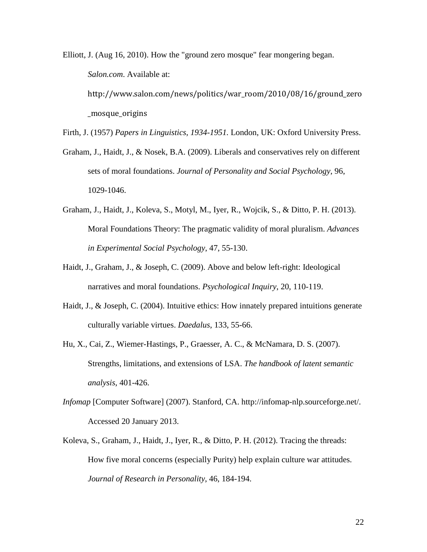Elliott, J. (Aug 16, 2010). How the "ground zero mosque" fear mongering began. *Salon.com*. Available at: http://www.salon.com/news/politics/war\_room/2010/08/16/ground\_zero \_mosque\_origins

Firth, J. (1957) *Papers in Linguistics, 1934-1951.* London, UK: Oxford University Press.

- Graham, J., Haidt, J., & Nosek, B.A. (2009). Liberals and conservatives rely on different sets of moral foundations. *Journal of Personality and Social Psychology*, 96, 1029-1046.
- Graham, J., Haidt, J., Koleva, S., Motyl, M., Iyer, R., Wojcik, S., & Ditto, P. H. (2013). Moral Foundations Theory: The pragmatic validity of moral pluralism. *Advances in Experimental Social Psychology*, 47, 55-130.
- Haidt, J., Graham, J., & Joseph, C. (2009). Above and below left-right: Ideological narratives and moral foundations. *Psychological Inquiry*, 20, 110-119.
- Haidt, J., & Joseph, C. (2004). Intuitive ethics: How innately prepared intuitions generate culturally variable virtues. *Daedalus*, 133, 55-66.
- Hu, X., Cai, Z., Wiemer-Hastings, P., Graesser, A. C., & McNamara, D. S. (2007). Strengths, limitations, and extensions of LSA. *The handbook of latent semantic analysis*, 401-426.
- *Infomap* [Computer Software] (2007). Stanford, CA. http://infomap-nlp.sourceforge.net/. Accessed 20 January 2013.
- Koleva, S., Graham, J., Haidt, J., Iyer, R., & Ditto, P. H. (2012). Tracing the threads: How five moral concerns (especially Purity) help explain culture war attitudes. *Journal of Research in Personality*, 46, 184-194.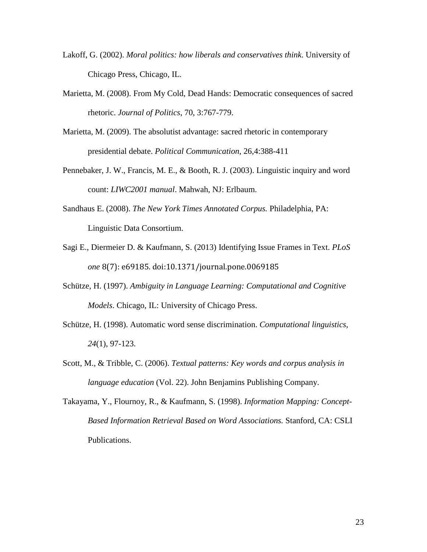- Lakoff, G. (2002). *Moral politics: how liberals and conservatives think*. University of Chicago Press, Chicago, IL.
- Marietta, M. (2008). From My Cold, Dead Hands: Democratic consequences of sacred rhetoric. *Journal of Politics*, 70, 3:767-779.
- Marietta, M. (2009). The absolutist advantage: sacred rhetoric in contemporary presidential debate. *Political Communication*, 26,4:388-411
- Pennebaker, J. W., Francis, M. E., & Booth, R. J. (2003). Linguistic inquiry and word count: *LIWC2001 manual*. Mahwah, NJ: Erlbaum.
- Sandhaus E. (2008). *The New York Times Annotated Corpus.* Philadelphia, PA: Linguistic Data Consortium.
- Sagi E., Diermeier D. & Kaufmann, S. (2013) Identifying Issue Frames in Text. *PLoS one* 8(7): e69185. doi:10.1371/journal.pone.0069185
- Schütze, H. (1997). *Ambiguity in Language Learning: Computational and Cognitive Models*. Chicago, IL: University of Chicago Press.
- Schütze, H. (1998). Automatic word sense discrimination. *Computational linguistics*, *24*(1), 97-123.
- Scott, M., & Tribble, C. (2006). *Textual patterns: Key words and corpus analysis in language education* (Vol. 22). John Benjamins Publishing Company.
- Takayama, Y., Flournoy, R., & Kaufmann, S. (1998). *Information Mapping: Concept-Based Information Retrieval Based on Word Associations.* Stanford, CA: CSLI Publications.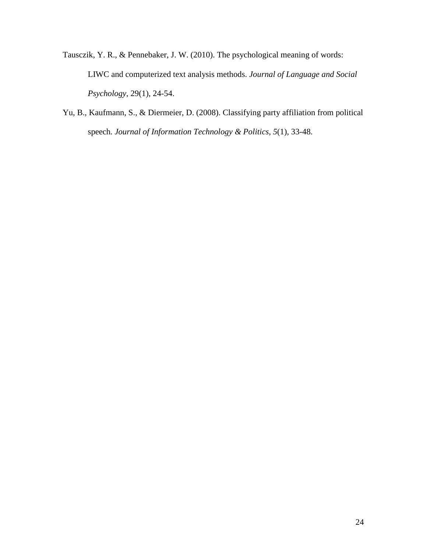- Tausczik, Y. R., & Pennebaker, J. W. (2010). The psychological meaning of words: LIWC and computerized text analysis methods. *Journal of Language and Social Psychology*, 29(1), 24-54.
- Yu, B., Kaufmann, S., & Diermeier, D. (2008). Classifying party affiliation from political speech. *Journal of Information Technology & Politics*, *5*(1), 33-48.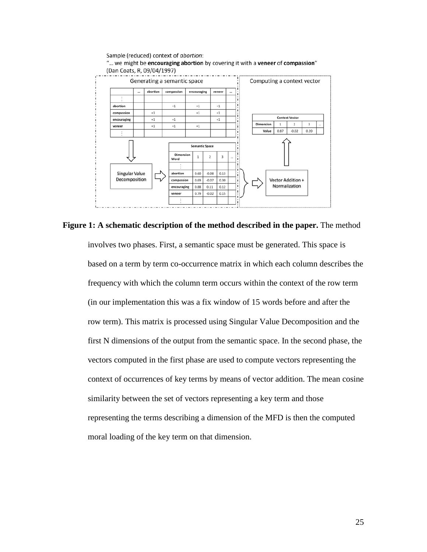

**Figure 1: A schematic description of the method described in the paper.** The method

involves two phases. First, a semantic space must be generated. This space is based on a term by term co-occurrence matrix in which each column describes the frequency with which the column term occurs within the context of the row term (in our implementation this was a fix window of 15 words before and after the row term). This matrix is processed using Singular Value Decomposition and the first N dimensions of the output from the semantic space. In the second phase, the vectors computed in the first phase are used to compute vectors representing the context of occurrences of key terms by means of vector addition. The mean cosine similarity between the set of vectors representing a key term and those representing the terms describing a dimension of the MFD is then the computed moral loading of the key term on that dimension.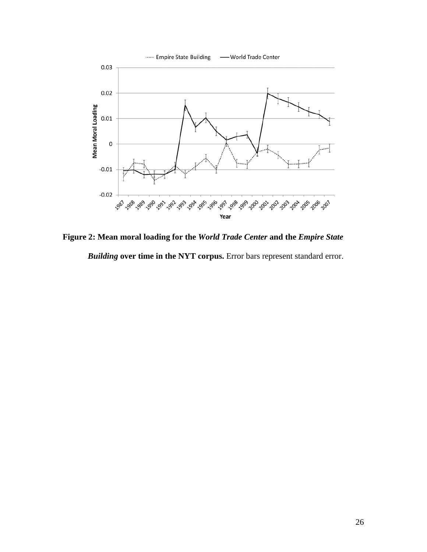

**Figure 2: Mean moral loading for the** *World Trade Center* **and the** *Empire State Building* **over time in the NYT corpus.** Error bars represent standard error.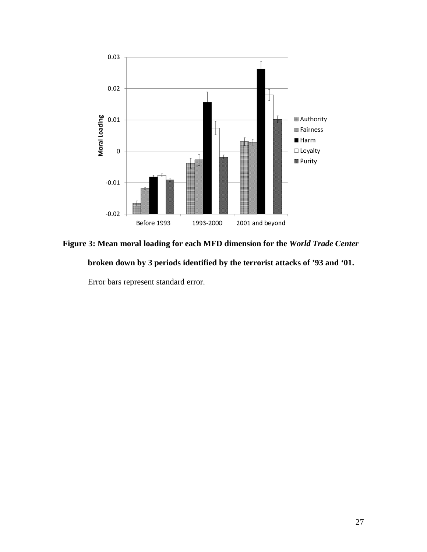

**Figure 3: Mean moral loading for each MFD dimension for the** *World Trade Center*  **broken down by 3 periods identified by the terrorist attacks of '93 and '01.** 

Error bars represent standard error.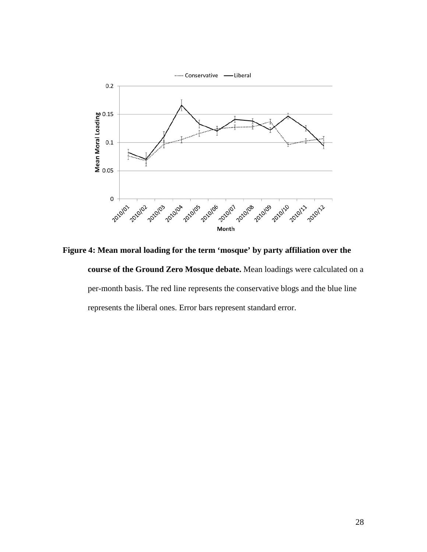

**Figure 4: Mean moral loading for the term 'mosque' by party affiliation over the course of the Ground Zero Mosque debate.** Mean loadings were calculated on a per-month basis. The red line represents the conservative blogs and the blue line represents the liberal ones. Error bars represent standard error.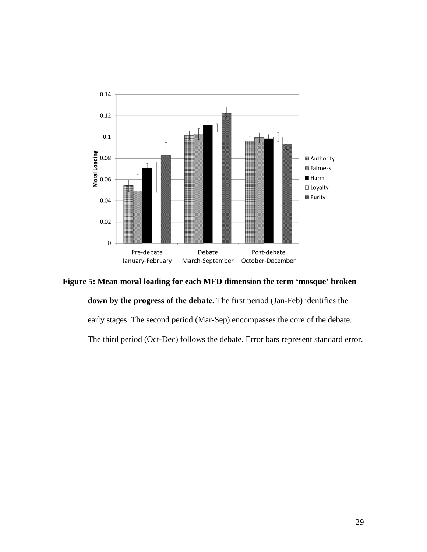

**Figure 5: Mean moral loading for each MFD dimension the term 'mosque' broken** 

**down by the progress of the debate.** The first period (Jan-Feb) identifies the early stages. The second period (Mar-Sep) encompasses the core of the debate. The third period (Oct-Dec) follows the debate. Error bars represent standard error.